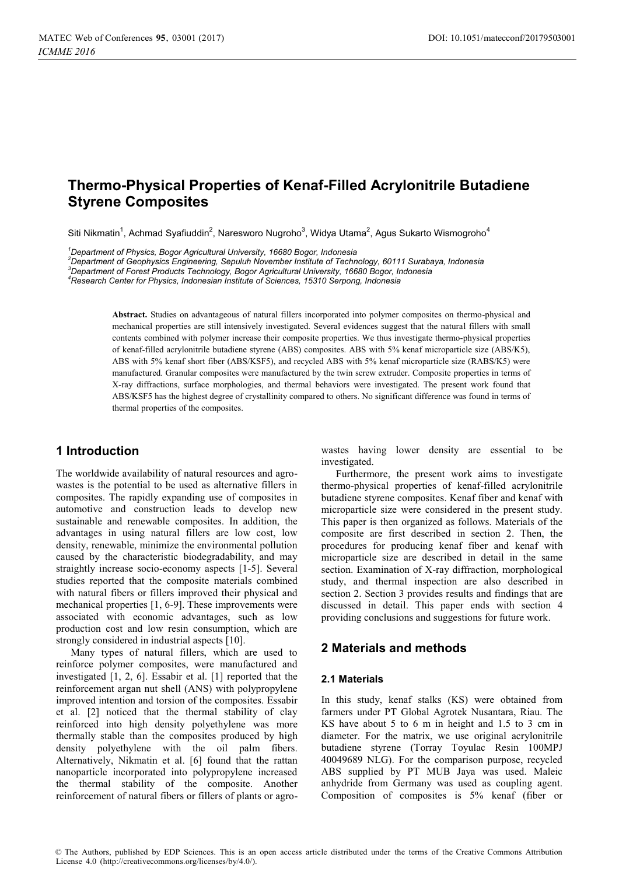# **Thermo-Physical Properties of Kenaf-Filled Acrylonitrile Butadiene Styrene Composites**

Siti Nikmatin<sup>1</sup>, Achmad Syafiuddin<sup>2</sup>, Naresworo Nugroho<sup>3</sup>, Widya Utama<sup>2</sup>, Agus Sukarto Wismogroho<sup>4</sup>

*1 Department of Physics, Bogor Agricultural University, 16680 Bogor, Indonesia* 

*2 Department of Geophysics Engineering, Sepuluh November Institute of Technology, 60111 Surabaya, Indonesia 3*

*Department of Forest Products Technology, Bogor Agricultural University, 16680 Bogor, Indonesia* 

*4 Research Center for Physics, Indonesian Institute of Sciences, 15310 Serpong, Indonesia* 

**Abstract.** Studies on advantageous of natural fillers incorporated into polymer composites on thermo-physical and mechanical properties are still intensively investigated. Several evidences suggest that the natural fillers with small contents combined with polymer increase their composite properties. We thus investigate thermo-physical properties of kenaf-filled acrylonitrile butadiene styrene (ABS) composites. ABS with 5% kenaf microparticle size (ABS/K5), ABS with 5% kenaf short fiber (ABS/KSF5), and recycled ABS with 5% kenaf microparticle size (RABS/K5) were manufactured. Granular composites were manufactured by the twin screw extruder. Composite properties in terms of X-ray diffractions, surface morphologies, and thermal behaviors were investigated. The present work found that ABS/KSF5 has the highest degree of crystallinity compared to others. No significant difference was found in terms of thermal properties of the composites.

# **1 Introduction**

The worldwide availability of natural resources and agrowastes is the potential to be used as alternative fillers in composites. The rapidly expanding use of composites in automotive and construction leads to develop new sustainable and renewable composites. In addition, the advantages in using natural fillers are low cost, low density, renewable, minimize the environmental pollution caused by the characteristic biodegradability, and may straightly increase socio-economy aspects [1-5]. Several studies reported that the composite materials combined with natural fibers or fillers improved their physical and mechanical properties [1, 6-9]. These improvements were associated with economic advantages, such as low production cost and low resin consumption, which are strongly considered in industrial aspects [10].

Many types of natural fillers, which are used to reinforce polymer composites, were manufactured and investigated [1, 2, 6]. Essabir et al. [1] reported that the reinforcement argan nut shell (ANS) with polypropylene improved intention and torsion of the composites. Essabir et al. [2] noticed that the thermal stability of clay reinforced into high density polyethylene was more thermally stable than the composites produced by high density polyethylene with the oil palm fibers. Alternatively, Nikmatin et al. [6] found that the rattan nanoparticle incorporated into polypropylene increased the thermal stability of the composite. Another reinforcement of natural fibers or fillers of plants or agrowastes having lower density are essential to be investigated.

Furthermore, the present work aims to investigate thermo-physical properties of kenaf-filled acrylonitrile butadiene styrene composites. Kenaf fiber and kenaf with microparticle size were considered in the present study. This paper is then organized as follows. Materials of the composite are first described in section 2. Then, the procedures for producing kenaf fiber and kenaf with microparticle size are described in detail in the same section. Examination of X-ray diffraction, morphological study, and thermal inspection are also described in section 2. Section 3 provides results and findings that are discussed in detail. This paper ends with section 4 providing conclusions and suggestions for future work.

# **2 Materials and methods**

#### **2.1 Materials**

In this study, kenaf stalks (KS) were obtained from farmers under PT Global Agrotek Nusantara, Riau. The KS have about 5 to 6 m in height and 1.5 to 3 cm in diameter. For the matrix, we use original acrylonitrile butadiene styrene (Torray Toyulac Resin 100MPJ 40049689 NLG). For the comparison purpose, recycled ABS supplied by PT MUB Jaya was used. Maleic anhydride from Germany was used as coupling agent. Composition of composites is 5% kenaf (fiber or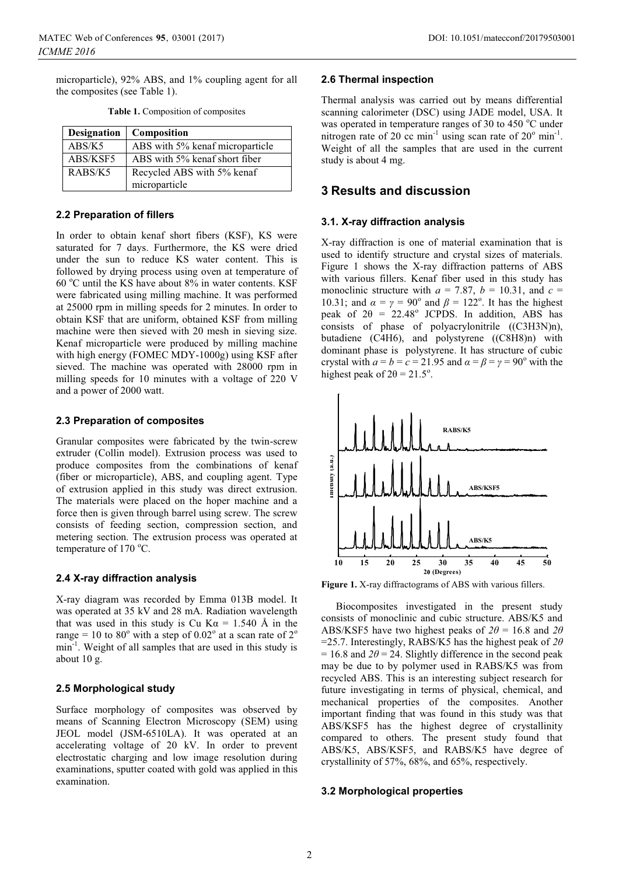microparticle), 92% ABS, and 1% coupling agent for all the composites (see Table 1).

| <b>Designation</b> | <b>Composition</b>              |
|--------------------|---------------------------------|
| ABS/K5             | ABS with 5% kenaf microparticle |
| ABS/KSF5           | ABS with 5% kenaf short fiber   |
| RABS/K5            | Recycled ABS with 5% kenaf      |
|                    | microparticle                   |

**Table 1.** Composition of composites

#### **2.2 Preparation of fillers**

In order to obtain kenaf short fibers (KSF), KS were saturated for 7 days. Furthermore, the KS were dried under the sun to reduce KS water content. This is followed by drying process using oven at temperature of 60 °C until the KS have about 8% in water contents. KSF were fabricated using milling machine. It was performed at 25000 rpm in milling speeds for 2 minutes. In order to obtain KSF that are uniform, obtained KSF from milling machine were then sieved with 20 mesh in sieving size. Kenaf microparticle were produced by milling machine with high energy (FOMEC MDY-1000g) using KSF after sieved. The machine was operated with 28000 rpm in milling speeds for 10 minutes with a voltage of 220 V and a power of 2000 watt.

#### **2.3 Preparation of composites**

Granular composites were fabricated by the twin-screw extruder (Collin model). Extrusion process was used to produce composites from the combinations of kenaf (fiber or microparticle), ABS, and coupling agent. Type of extrusion applied in this study was direct extrusion. The materials were placed on the hoper machine and a force then is given through barrel using screw. The screw consists of feeding section, compression section, and metering section. The extrusion process was operated at temperature of 170 °C.

### **2.4 X-ray diffraction analysis**

X-ray diagram was recorded by Emma 013B model. It was operated at 35 kV and 28 mA. Radiation wavelength that was used in this study is Cu K $\alpha$  = 1.540 Å in the range = 10 to  $80^{\circ}$  with a step of  $0.02^{\circ}$  at a scan rate of  $2^{\circ}$ min-1. Weight of all samples that are used in this study is about 10 g.

### **2.5 Morphological study**

Surface morphology of composites was observed by means of Scanning Electron Microscopy (SEM) using JEOL model (JSM-6510LA). It was operated at an accelerating voltage of 20 kV. In order to prevent electrostatic charging and low image resolution during examinations, sputter coated with gold was applied in this examination.

#### **2.6 Thermal inspection**

Thermal analysis was carried out by means differential scanning calorimeter (DSC) using JADE model, USA. It was operated in temperature ranges of 30 to 450 °C under nitrogen rate of 20 cc min<sup>-1</sup> using scan rate of  $20^{\circ}$  min<sup>-1</sup>. Weight of all the samples that are used in the current study is about 4 mg.

# **3 Results and discussion**

#### **3.1. X-ray diffraction analysis**

X-ray diffraction is one of material examination that is used to identify structure and crystal sizes of materials. Figure 1 shows the X-ray diffraction patterns of ABS with various fillers. Kenaf fiber used in this study has monoclinic structure with  $a = 7.87$ ,  $b = 10.31$ , and  $c =$ 10.31; and  $\alpha = \gamma = 90^{\circ}$  and  $\beta = 122^{\circ}$ . It has the highest peak of  $2\theta = 22.48^\circ$  JCPDS. In addition, ABS has consists of phase of polyacrylonitrile ((C3H3N)n), butadiene (C4H6), and polystyrene ((C8H8)n) with dominant phase is polystyrene. It has structure of cubic crystal with  $a = b = c = 21.95$  and  $\alpha = \beta = \gamma = 90^{\circ}$  with the highest peak of  $2\theta = 21.5^{\circ}$ .



**Figure 1.** X-ray diffractograms of ABS with various fillers.

Biocomposites investigated in the present study consists of monoclinic and cubic structure. ABS/K5 and ABS/KSF5 have two highest peaks of  $2\theta = 16.8$  and  $2\theta$ =25.7. Interestingly, RABS/K5 has the highest peak of *2θ*  $= 16.8$  and  $2\theta = 24$ . Slightly difference in the second peak may be due to by polymer used in RABS/K5 was from recycled ABS. This is an interesting subject research for future investigating in terms of physical, chemical, and mechanical properties of the composites. Another important finding that was found in this study was that ABS/KSF5 has the highest degree of crystallinity compared to others. The present study found that ABS/K5, ABS/KSF5, and RABS/K5 have degree of crystallinity of 57%, 68%, and 65%, respectively.

#### **3.2 Morphological properties**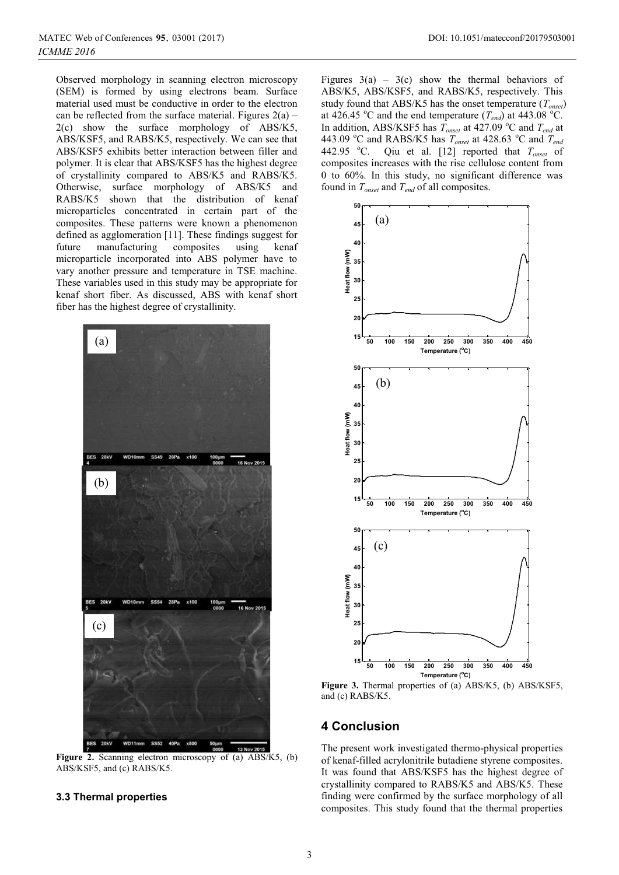Observed morphology in scanning electron microscopy (SEM) is formed by using electrons beam. Surface material used must be conductive in order to the electron can be reflected from the surface material. Figures  $2(a)$  – 2(c) show the surface morphology of ABS/K5, ABS/KSF5, and RABS/K5, respectively. We can see that ABS/KSF5 exhibits better interaction between filler and polymer. It is clear that ABS/KSF5 has the highest degree of crystallinity compared to ABS/K5 and RABS/K5. Otherwise, surface morphology of ABS/K5 and RABS/K5 shown that the distribution of kenaf microparticles concentrated in certain part of the composites. These patterns were known a phenomenon defined as agglomeration [11]. These findings suggest for future manufacturing composites using kenaf microparticle incorporated into ABS polymer have to vary another pressure and temperature in TSE machine. These variables used in this study may be appropriate for kenaf short fiber. As discussed, ABS with kenaf short fiber has the highest degree of crystallinity.



**Figure 2.** Scanning electron microscopy of (a) ABS/K5, (b) ABS/KSF5, and (c) RABS/K5.

# **3.3 Thermal properties**

Figures  $3(a)$  –  $3(c)$  show the thermal behaviors of ABS/K5, ABS/KSF5, and RABS/K5, respectively. This study found that ABS/K5 has the onset temperature (*Tonset*) at 426.45 °C and the end temperature  $(T_{end})$  at 443.08 °C. In addition, ABS/KSF5 has  $\overline{T}_{onset}$  at 427.09 °C and  $T_{end}$  at 443.09 °C and RABS/K5 has  $T_{onset}$  at 428.63 °C and  $T_{enco}$ 442.95 °C. Qiu et al. [12] reported that  $T_{onset}$  of composites increases with the rise cellulose content from 0 to 60%. In this study, no significant difference was found in *Tonset* and *Tend* of all composites.



**Figure 3.** Thermal properties of (a) ABS/K5, (b) ABS/KSF5, and (c) RABS/K5.

# **4 Conclusion**

The present work investigated thermo-physical properties of kenaf-filled acrylonitrile butadiene styrene composites. It was found that ABS/KSF5 has the highest degree of crystallinity compared to RABS/K5 and ABS/K5. These finding were confirmed by the surface morphology of all composites. This study found that the thermal properties